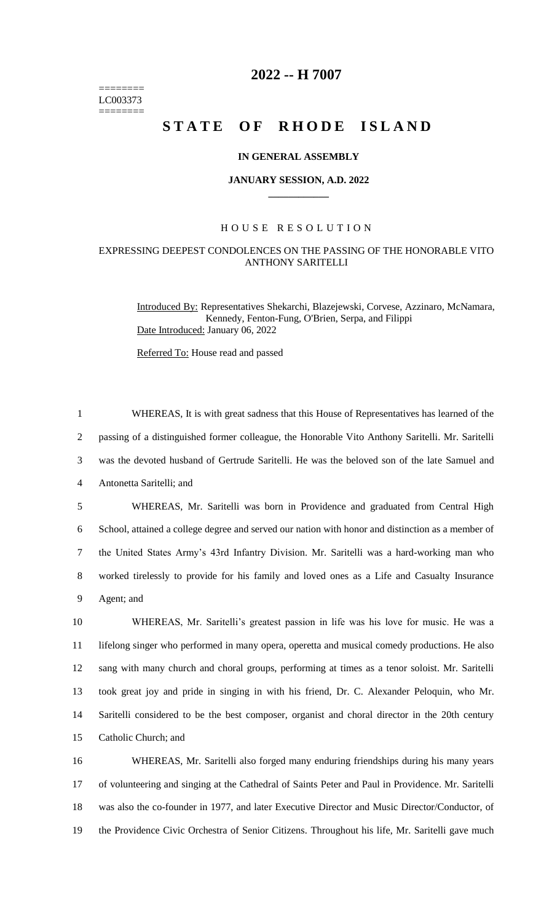======== LC003373 ========

## **2022 -- H 7007**

# **STATE OF RHODE ISLAND**

### **IN GENERAL ASSEMBLY**

#### **JANUARY SESSION, A.D. 2022 \_\_\_\_\_\_\_\_\_\_\_\_**

## H O U S E R E S O L U T I O N

## EXPRESSING DEEPEST CONDOLENCES ON THE PASSING OF THE HONORABLE VITO ANTHONY SARITELLI

Introduced By: Representatives Shekarchi, Blazejewski, Corvese, Azzinaro, McNamara, Kennedy, Fenton-Fung, O'Brien, Serpa, and Filippi Date Introduced: January 06, 2022

Referred To: House read and passed

 WHEREAS, It is with great sadness that this House of Representatives has learned of the passing of a distinguished former colleague, the Honorable Vito Anthony Saritelli. Mr. Saritelli was the devoted husband of Gertrude Saritelli. He was the beloved son of the late Samuel and Antonetta Saritelli; and WHEREAS, Mr. Saritelli was born in Providence and graduated from Central High School, attained a college degree and served our nation with honor and distinction as a member of the United States Army's 43rd Infantry Division. Mr. Saritelli was a hard-working man who worked tirelessly to provide for his family and loved ones as a Life and Casualty Insurance Agent; and WHEREAS, Mr. Saritelli's greatest passion in life was his love for music. He was a lifelong singer who performed in many opera, operetta and musical comedy productions. He also sang with many church and choral groups, performing at times as a tenor soloist. Mr. Saritelli

14 Saritelli considered to be the best composer, organist and choral director in the 20th century 15 Catholic Church; and

13 took great joy and pride in singing in with his friend, Dr. C. Alexander Peloquin, who Mr.

 WHEREAS, Mr. Saritelli also forged many enduring friendships during his many years of volunteering and singing at the Cathedral of Saints Peter and Paul in Providence. Mr. Saritelli was also the co-founder in 1977, and later Executive Director and Music Director/Conductor, of the Providence Civic Orchestra of Senior Citizens. Throughout his life, Mr. Saritelli gave much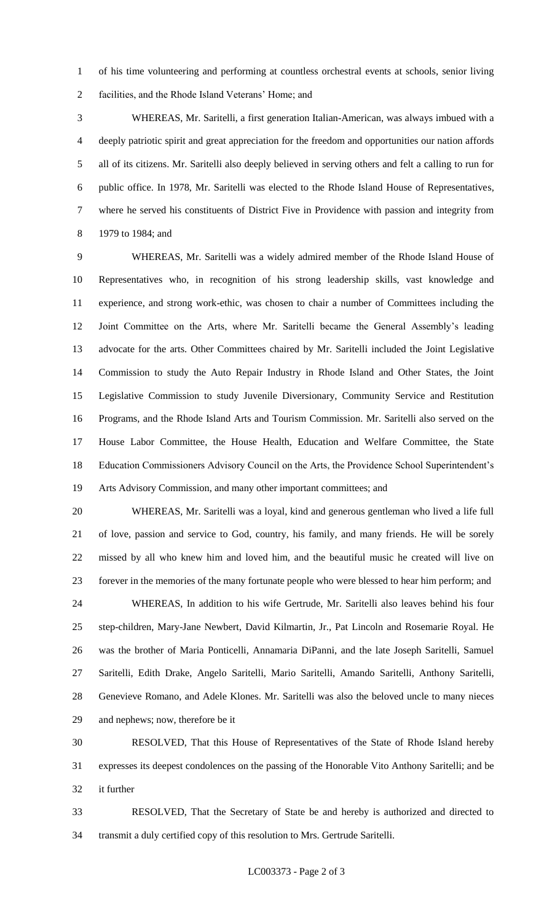of his time volunteering and performing at countless orchestral events at schools, senior living facilities, and the Rhode Island Veterans' Home; and

 WHEREAS, Mr. Saritelli, a first generation Italian-American, was always imbued with a deeply patriotic spirit and great appreciation for the freedom and opportunities our nation affords all of its citizens. Mr. Saritelli also deeply believed in serving others and felt a calling to run for public office. In 1978, Mr. Saritelli was elected to the Rhode Island House of Representatives, where he served his constituents of District Five in Providence with passion and integrity from 1979 to 1984; and

 WHEREAS, Mr. Saritelli was a widely admired member of the Rhode Island House of Representatives who, in recognition of his strong leadership skills, vast knowledge and experience, and strong work-ethic, was chosen to chair a number of Committees including the Joint Committee on the Arts, where Mr. Saritelli became the General Assembly's leading advocate for the arts. Other Committees chaired by Mr. Saritelli included the Joint Legislative Commission to study the Auto Repair Industry in Rhode Island and Other States, the Joint Legislative Commission to study Juvenile Diversionary, Community Service and Restitution Programs, and the Rhode Island Arts and Tourism Commission. Mr. Saritelli also served on the House Labor Committee, the House Health, Education and Welfare Committee, the State Education Commissioners Advisory Council on the Arts, the Providence School Superintendent's Arts Advisory Commission, and many other important committees; and

 WHEREAS, Mr. Saritelli was a loyal, kind and generous gentleman who lived a life full of love, passion and service to God, country, his family, and many friends. He will be sorely missed by all who knew him and loved him, and the beautiful music he created will live on forever in the memories of the many fortunate people who were blessed to hear him perform; and

 WHEREAS, In addition to his wife Gertrude, Mr. Saritelli also leaves behind his four step-children, Mary-Jane Newbert, David Kilmartin, Jr., Pat Lincoln and Rosemarie Royal. He was the brother of Maria Ponticelli, Annamaria DiPanni, and the late Joseph Saritelli, Samuel Saritelli, Edith Drake, Angelo Saritelli, Mario Saritelli, Amando Saritelli, Anthony Saritelli, Genevieve Romano, and Adele Klones. Mr. Saritelli was also the beloved uncle to many nieces and nephews; now, therefore be it

 RESOLVED, That this House of Representatives of the State of Rhode Island hereby expresses its deepest condolences on the passing of the Honorable Vito Anthony Saritelli; and be it further

 RESOLVED, That the Secretary of State be and hereby is authorized and directed to transmit a duly certified copy of this resolution to Mrs. Gertrude Saritelli.